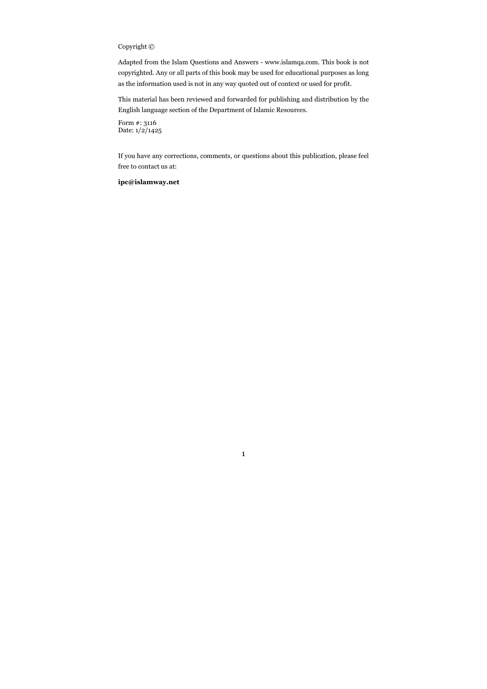# Copyright ©

Adapted from the Islam Questions and Answers - www.islamqa.com. This book is not copyrighted. Any or all parts of this book may be used for educational purposes as long as the information used is not in any way quoted out of context or used for profit.

This material has been reviewed and forwarded for publishing and distribution by the English language section of the Department of Islamic Resources.

Form #: 3116 Date: 1/2/1425

If you have any corrections, comments, or questions about this publication, please feel free to contact us at:

1

#### ipc@islamway.net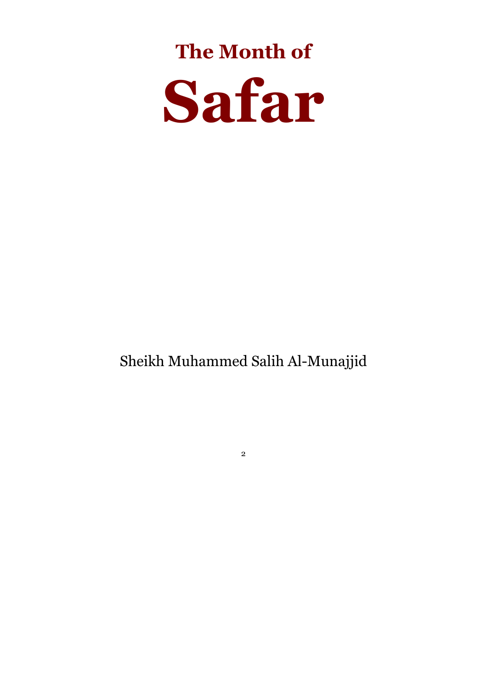# The Month of Safar

# Sheikh Muhammed Salih Al-Munajjid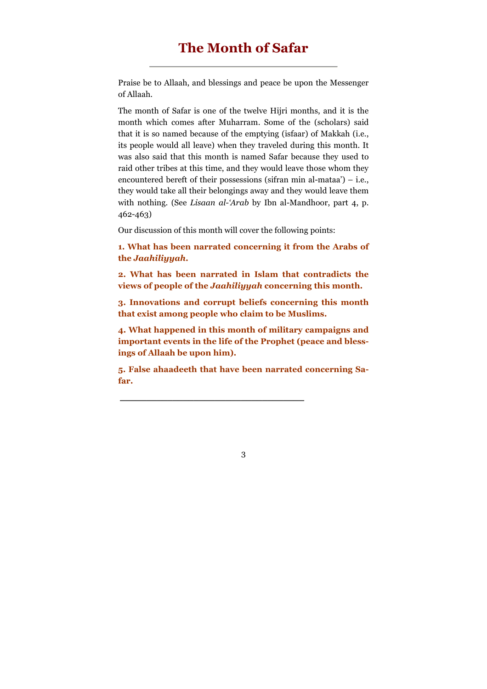Praise be to Allaah, and blessings and peace be upon the Messenger of Allaah.

The month of Safar is one of the twelve Hijri months, and it is the month which comes after Muharram. Some of the (scholars) said that it is so named because of the emptying (isfaar) of Makkah (i.e., its people would all leave) when they traveled during this month. It was also said that this month is named Safar because they used to raid other tribes at this time, and they would leave those whom they encountered bereft of their possessions (sifran min al-mataa') – i.e., they would take all their belongings away and they would leave them with nothing. (See Lisaan al-'Arab by Ibn al-Mandhoor, part 4, p. 462-463)

Our discussion of this month will cover the following points:

1. What has been narrated concerning it from the Arabs of the Jaahiliyyah.

2. What has been narrated in Islam that contradicts the views of people of the Jaahiliyyah concerning this month.

3. Innovations and corrupt beliefs concerning this month that exist among people who claim to be Muslims.

4. What happened in this month of military campaigns and important events in the life of the Prophet (peace and blessings of Allaah be upon him).

5. False ahaadeeth that have been narrated concerning Safar.

\_\_\_\_\_\_\_\_\_\_\_\_\_\_\_\_\_\_\_\_\_\_\_\_\_\_\_\_\_\_\_\_\_\_\_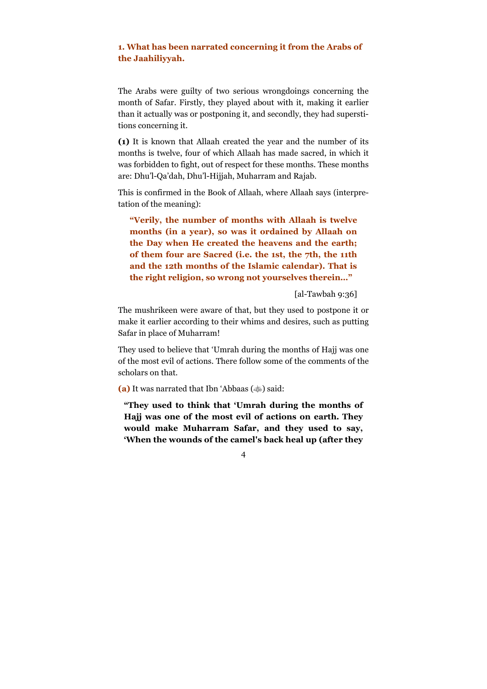# 1. What has been narrated concerning it from the Arabs of the Jaahiliyyah.

The Arabs were guilty of two serious wrongdoings concerning the month of Safar. Firstly, they played about with it, making it earlier than it actually was or postponing it, and secondly, they had superstitions concerning it.

(1) It is known that Allaah created the year and the number of its months is twelve, four of which Allaah has made sacred, in which it was forbidden to fight, out of respect for these months. These months are: Dhu'l-Qa'dah, Dhu'l-Hijjah, Muharram and Rajab.

This is confirmed in the Book of Allaah, where Allaah says (interpretation of the meaning):

"Verily, the number of months with Allaah is twelve months (in a year), so was it ordained by Allaah on the Day when He created the heavens and the earth; of them four are Sacred (i.e. the 1st, the 7th, the 11th and the 12th months of the Islamic calendar). That is the right religion, so wrong not yourselves therein…"

[al-Tawbah 9:36]

The mushrikeen were aware of that, but they used to postpone it or make it earlier according to their whims and desires, such as putting Safar in place of Muharram!

They used to believe that 'Umrah during the months of Hajj was one of the most evil of actions. There follow some of the comments of the scholars on that.

(a) It was narrated that Ibn 'Abbaas  $(\text{)}$  said:

"They used to think that 'Umrah during the months of Hajj was one of the most evil of actions on earth. They would make Muharram Safar, and they used to say, 'When the wounds of the camel's back heal up (after they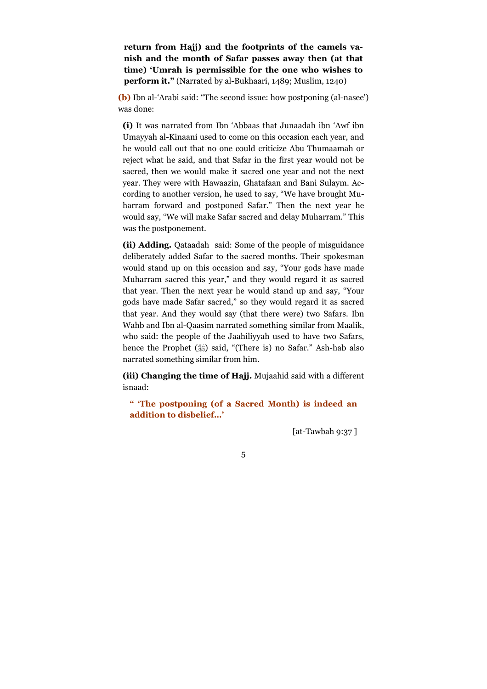return from Hajj) and the footprints of the camels vanish and the month of Safar passes away then (at that time) 'Umrah is permissible for the one who wishes to perform it." (Narrated by al-Bukhaari, 1489; Muslim, 1240)

(b) Ibn al-'Arabi said: "The second issue: how postponing (al-nasee') was done:

(i) It was narrated from Ibn 'Abbaas that Junaadah ibn 'Awf ibn Umayyah al-Kinaani used to come on this occasion each year, and he would call out that no one could criticize Abu Thumaamah or reject what he said, and that Safar in the first year would not be sacred, then we would make it sacred one year and not the next year. They were with Hawaazin, Ghatafaan and Bani Sulaym. According to another version, he used to say, "We have brought Muharram forward and postponed Safar." Then the next year he would say, "We will make Safar sacred and delay Muharram." This was the postponement.

(ii) Adding. Qataadah said: Some of the people of misguidance deliberately added Safar to the sacred months. Their spokesman would stand up on this occasion and say, "Your gods have made Muharram sacred this year," and they would regard it as sacred that year. Then the next year he would stand up and say, "Your gods have made Safar sacred," so they would regard it as sacred that year. And they would say (that there were) two Safars. Ibn Wahb and Ibn al-Qaasim narrated something similar from Maalik, who said: the people of the Jaahiliyyah used to have two Safars, hence the Prophet (3) said, "(There is) no Safar." Ash-hab also narrated something similar from him.

(iii) Changing the time of Hajj. Mujaahid said with a different isnaad:

" 'The postponing (of a Sacred Month) is indeed an addition to disbelief…'

[at-Tawbah 9:37 ]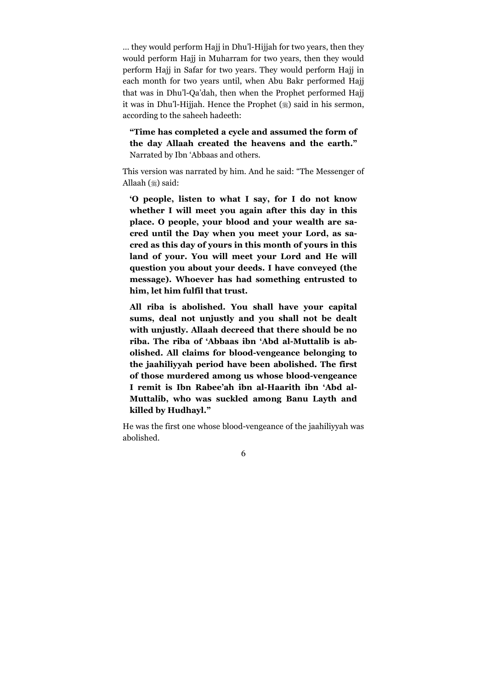… they would perform Hajj in Dhu'l-Hijjah for two years, then they would perform Hajj in Muharram for two years, then they would perform Hajj in Safar for two years. They would perform Hajj in each month for two years until, when Abu Bakr performed Hajj that was in Dhu'l-Qa'dah, then when the Prophet performed Hajj it was in Dhu'l-Hijjah. Hence the Prophet (#) said in his sermon, according to the saheeh hadeeth:

"Time has completed a cycle and assumed the form of the day Allaah created the heavens and the earth." Narrated by Ibn 'Abbaas and others.

This version was narrated by him. And he said: "The Messenger of Allaah (ﷺ) said:

'O people, listen to what I say, for I do not know whether I will meet you again after this day in this place. O people, your blood and your wealth are sacred until the Day when you meet your Lord, as sacred as this day of yours in this month of yours in this land of your. You will meet your Lord and He will question you about your deeds. I have conveyed (the message). Whoever has had something entrusted to him, let him fulfil that trust.

All riba is abolished. You shall have your capital sums, deal not unjustly and you shall not be dealt with unjustly. Allaah decreed that there should be no riba. The riba of 'Abbaas ibn 'Abd al-Muttalib is abolished. All claims for blood-vengeance belonging to the jaahiliyyah period have been abolished. The first of those murdered among us whose blood-vengeance I remit is Ibn Rabee'ah ibn al-Haarith ibn 'Abd al-Muttalib, who was suckled among Banu Layth and killed by Hudhayl."

He was the first one whose blood-vengeance of the jaahiliyyah was abolished.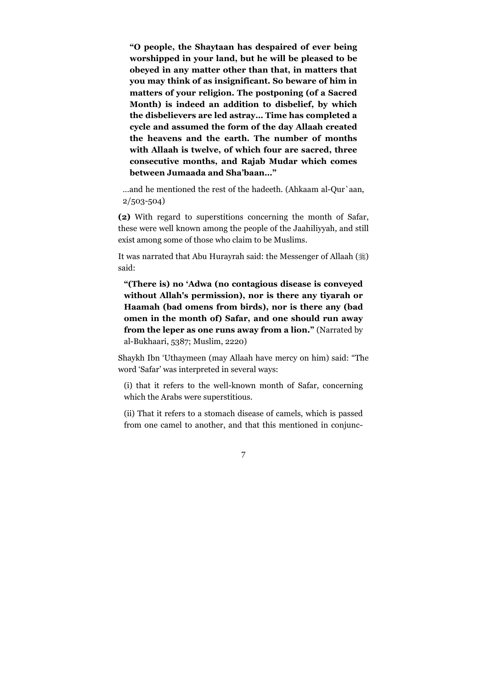"O people, the Shaytaan has despaired of ever being worshipped in your land, but he will be pleased to be obeyed in any matter other than that, in matters that you may think of as insignificant. So beware of him in matters of your religion. The postponing (of a Sacred Month) is indeed an addition to disbelief, by which the disbelievers are led astray… Time has completed a cycle and assumed the form of the day Allaah created the heavens and the earth. The number of months with Allaah is twelve, of which four are sacred, three consecutive months, and Rajab Mudar which comes between Jumaada and Sha'baan…"

…and he mentioned the rest of the hadeeth. (Ahkaam al-Qur`aan, 2/503-504)

(2) With regard to superstitions concerning the month of Safar, these were well known among the people of the Jaahiliyyah, and still exist among some of those who claim to be Muslims.

It was narrated that Abu Hurayrah said: the Messenger of Allaah (ﷺ) said:

"(There is) no 'Adwa (no contagious disease is conveyed without Allah's permission), nor is there any tiyarah or Haamah (bad omens from birds), nor is there any (bad omen in the month of) Safar, and one should run away from the leper as one runs away from a lion." (Narrated by al-Bukhaari, 5387; Muslim, 2220)

Shaykh Ibn 'Uthaymeen (may Allaah have mercy on him) said: "The word 'Safar' was interpreted in several ways:

(i) that it refers to the well-known month of Safar, concerning which the Arabs were superstitious.

(ii) That it refers to a stomach disease of camels, which is passed from one camel to another, and that this mentioned in conjunc-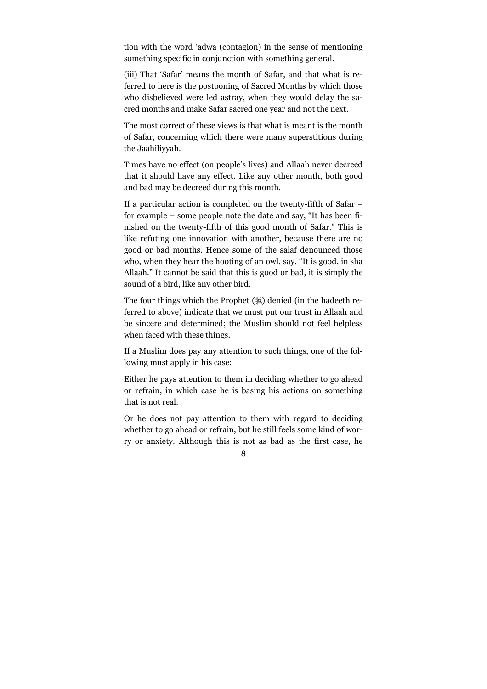tion with the word 'adwa (contagion) in the sense of mentioning something specific in conjunction with something general.

(iii) That 'Safar' means the month of Safar, and that what is referred to here is the postponing of Sacred Months by which those who disbelieved were led astray, when they would delay the sacred months and make Safar sacred one year and not the next.

The most correct of these views is that what is meant is the month of Safar, concerning which there were many superstitions during the Jaahiliyyah.

Times have no effect (on people's lives) and Allaah never decreed that it should have any effect. Like any other month, both good and bad may be decreed during this month.

If a particular action is completed on the twenty-fifth of Safar – for example – some people note the date and say, "It has been finished on the twenty-fifth of this good month of Safar." This is like refuting one innovation with another, because there are no good or bad months. Hence some of the salaf denounced those who, when they hear the hooting of an owl, say, "It is good, in sha Allaah." It cannot be said that this is good or bad, it is simply the sound of a bird, like any other bird.

The four things which the Prophet (,) denied (in the hadeeth referred to above) indicate that we must put our trust in Allaah and be sincere and determined; the Muslim should not feel helpless when faced with these things.

If a Muslim does pay any attention to such things, one of the following must apply in his case:

Either he pays attention to them in deciding whether to go ahead or refrain, in which case he is basing his actions on something that is not real.

Or he does not pay attention to them with regard to deciding whether to go ahead or refrain, but he still feels some kind of worry or anxiety. Although this is not as bad as the first case, he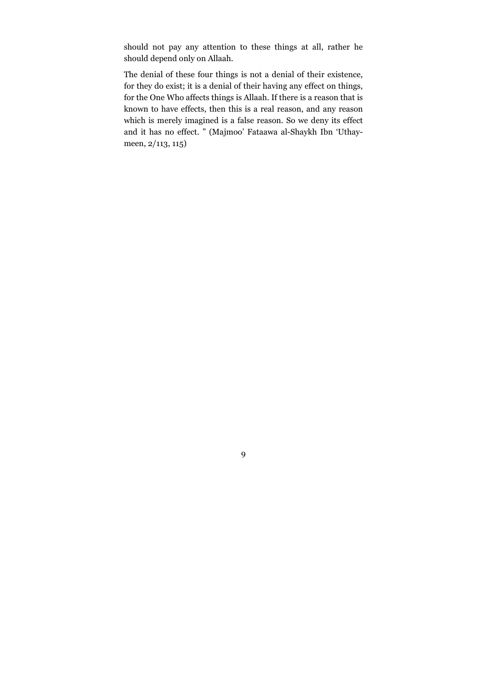should not pay any attention to these things at all, rather he should depend only on Allaah.

The denial of these four things is not a denial of their existence, for they do exist; it is a denial of their having any effect on things, for the One Who affects things is Allaah. If there is a reason that is known to have effects, then this is a real reason, and any reason which is merely imagined is a false reason. So we deny its effect and it has no effect. " (Majmoo' Fataawa al-Shaykh Ibn 'Uthaymeen, 2/113, 115)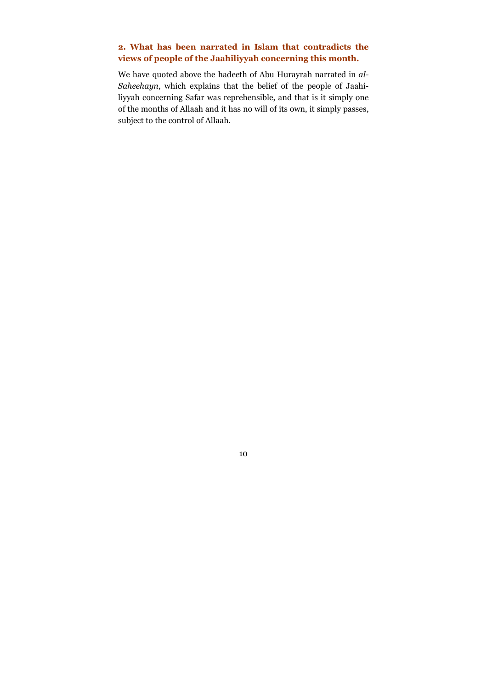# 2. What has been narrated in Islam that contradicts the views of people of the Jaahiliyyah concerning this month.

We have quoted above the hadeeth of Abu Hurayrah narrated in al-Saheehayn, which explains that the belief of the people of Jaahiliyyah concerning Safar was reprehensible, and that is it simply one of the months of Allaah and it has no will of its own, it simply passes, subject to the control of Allaah.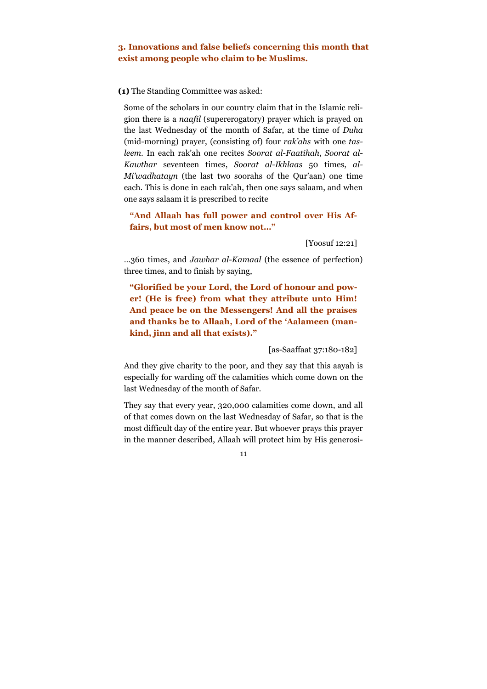# 3. Innovations and false beliefs concerning this month that exist among people who claim to be Muslims.

#### (1) The Standing Committee was asked:

Some of the scholars in our country claim that in the Islamic religion there is a naafil (supererogatory) prayer which is prayed on the last Wednesday of the month of Safar, at the time of Duha (mid-morning) prayer, (consisting of) four rak'ahs with one tasleem. In each rak'ah one recites Soorat al-Faatihah, Soorat al-Kawthar seventeen times, Soorat al-Ikhlaas 50 times, al-Mi'wadhatayn (the last two soorahs of the Qur'aan) one time each. This is done in each rak'ah, then one says salaam, and when one says salaam it is prescribed to recite

"And Allaah has full power and control over His Affairs, but most of men know not…"

[Yoosuf 12:21]

…360 times, and Jawhar al-Kamaal (the essence of perfection) three times, and to finish by saying,

"Glorified be your Lord, the Lord of honour and power! (He is free) from what they attribute unto Him! And peace be on the Messengers! And all the praises and thanks be to Allaah, Lord of the 'Aalameen (mankind, jinn and all that exists)."

[as-Saaffaat 37:180-182]

And they give charity to the poor, and they say that this aayah is especially for warding off the calamities which come down on the last Wednesday of the month of Safar.

They say that every year, 320,000 calamities come down, and all of that comes down on the last Wednesday of Safar, so that is the most difficult day of the entire year. But whoever prays this prayer in the manner described, Allaah will protect him by His generosi-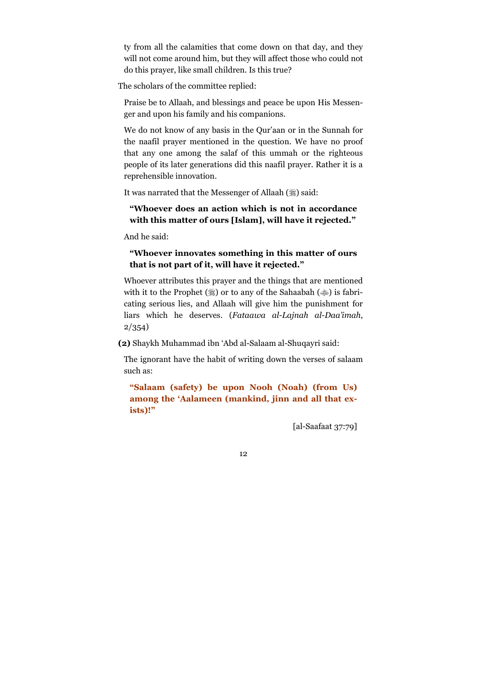ty from all the calamities that come down on that day, and they will not come around him, but they will affect those who could not do this prayer, like small children. Is this true?

The scholars of the committee replied:

Praise be to Allaah, and blessings and peace be upon His Messenger and upon his family and his companions.

We do not know of any basis in the Qur'aan or in the Sunnah for the naafil prayer mentioned in the question. We have no proof that any one among the salaf of this ummah or the righteous people of its later generations did this naafil prayer. Rather it is a reprehensible innovation.

It was narrated that the Messenger of Allaah (5) said:

## "Whoever does an action which is not in accordance with this matter of ours [Islam], will have it rejected."

And he said:

# "Whoever innovates something in this matter of ours that is not part of it, will have it rejected."

Whoever attributes this prayer and the things that are mentioned with it to the Prophet (3) or to any of the Sahaabah (4) is fabricating serious lies, and Allaah will give him the punishment for liars which he deserves. (Fataawa al-Lajnah al-Daa'imah, 2/354)

(2) Shaykh Muhammad ibn 'Abd al-Salaam al-Shuqayri said:

The ignorant have the habit of writing down the verses of salaam such as:

"Salaam (safety) be upon Nooh (Noah) (from Us) among the 'Aalameen (mankind, jinn and all that exists)!"

[al-Saafaat 37:79]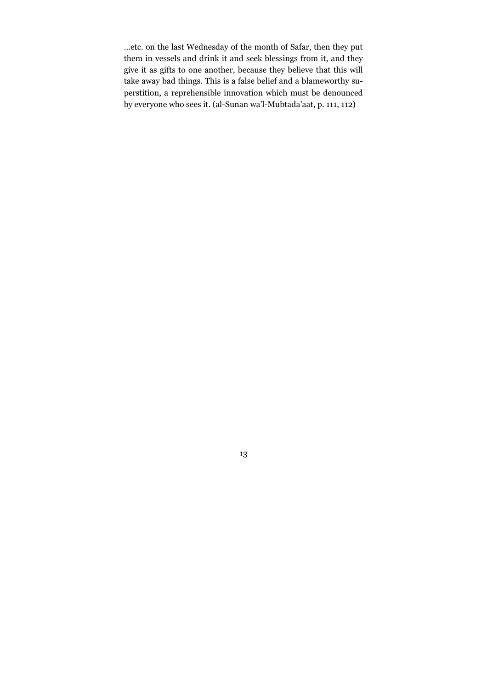…etc. on the last Wednesday of the month of Safar, then they put them in vessels and drink it and seek blessings from it, and they give it as gifts to one another, because they believe that this will take away bad things. This is a false belief and a blameworthy superstition, a reprehensible innovation which must be denounced by everyone who sees it. (al-Sunan wa'l-Mubtada'aat, p. 111, 112)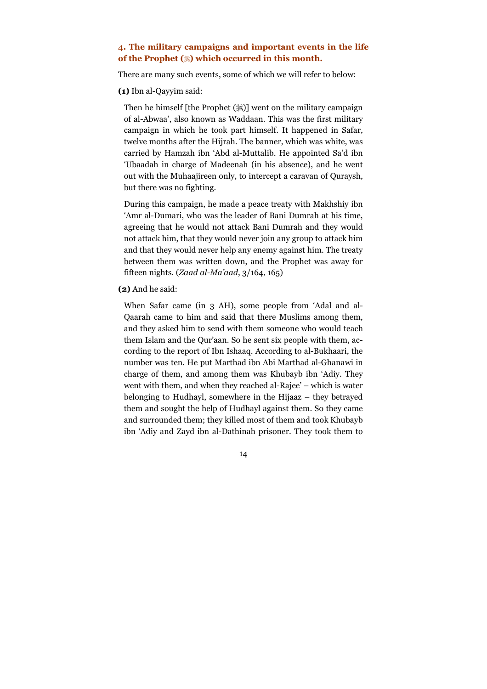## 4. The military campaigns and important events in the life of the Prophet (\*) which occurred in this month.

There are many such events, some of which we will refer to below:

(1) Ibn al-Qayyim said:

Then he himself [the Prophet (ﷺ)] went on the military campaign of al-Abwaa', also known as Waddaan. This was the first military campaign in which he took part himself. It happened in Safar, twelve months after the Hijrah. The banner, which was white, was carried by Hamzah ibn 'Abd al-Muttalib. He appointed Sa'd ibn 'Ubaadah in charge of Madeenah (in his absence), and he went out with the Muhaajireen only, to intercept a caravan of Quraysh, but there was no fighting.

During this campaign, he made a peace treaty with Makhshiy ibn 'Amr al-Dumari, who was the leader of Bani Dumrah at his time, agreeing that he would not attack Bani Dumrah and they would not attack him, that they would never join any group to attack him and that they would never help any enemy against him. The treaty between them was written down, and the Prophet was away for fifteen nights. (Zaad al-Ma'aad, 3/164, 165)

#### (2) And he said:

When Safar came (in 3 AH), some people from 'Adal and al-Qaarah came to him and said that there Muslims among them, and they asked him to send with them someone who would teach them Islam and the Qur'aan. So he sent six people with them, according to the report of Ibn Ishaaq. According to al-Bukhaari, the number was ten. He put Marthad ibn Abi Marthad al-Ghanawi in charge of them, and among them was Khubayb ibn 'Adiy. They went with them, and when they reached al-Rajee' – which is water belonging to Hudhayl, somewhere in the Hijaaz – they betrayed them and sought the help of Hudhayl against them. So they came and surrounded them; they killed most of them and took Khubayb ibn 'Adiy and Zayd ibn al-Dathinah prisoner. They took them to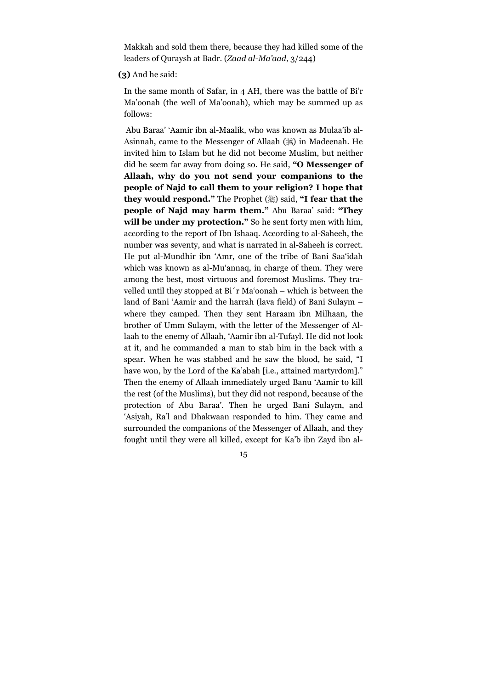Makkah and sold them there, because they had killed some of the leaders of Quraysh at Badr. (Zaad al-Ma'aad, 3/244)

#### (3) And he said:

In the same month of Safar, in 4 AH, there was the battle of Bi'r Ma'oonah (the well of Ma'oonah), which may be summed up as follows:

 Abu Baraa' 'Aamir ibn al-Maalik, who was known as Mulaa'ib al-Asinnah, came to the Messenger of Allaah (#) in Madeenah. He invited him to Islam but he did not become Muslim, but neither did he seem far away from doing so. He said, "O Messenger of Allaah, why do you not send your companions to the people of Najd to call them to your religion? I hope that they would respond." The Prophet (#) said, "I fear that the people of Najd may harm them." Abu Baraa' said: "They will be under my protection." So he sent forty men with him, according to the report of Ibn Ishaaq. According to al-Saheeh, the number was seventy, and what is narrated in al-Saheeh is correct. He put al-Mundhir ibn 'Amr, one of the tribe of Bani Saa'idah which was known as al-Mu'annaq, in charge of them. They were among the best, most virtuous and foremost Muslims. They travelled until they stopped at Bi´r Ma'oonah – which is between the land of Bani 'Aamir and the harrah (lava field) of Bani Sulaym – where they camped. Then they sent Haraam ibn Milhaan, the brother of Umm Sulaym, with the letter of the Messenger of Allaah to the enemy of Allaah, 'Aamir ibn al-Tufayl. He did not look at it, and he commanded a man to stab him in the back with a spear. When he was stabbed and he saw the blood, he said, "I have won, by the Lord of the Ka'abah [i.e., attained martyrdom]." Then the enemy of Allaah immediately urged Banu 'Aamir to kill the rest (of the Muslims), but they did not respond, because of the protection of Abu Baraa'. Then he urged Bani Sulaym, and 'Asiyah, Ra'l and Dhakwaan responded to him. They came and surrounded the companions of the Messenger of Allaah, and they fought until they were all killed, except for Ka'b ibn Zayd ibn al-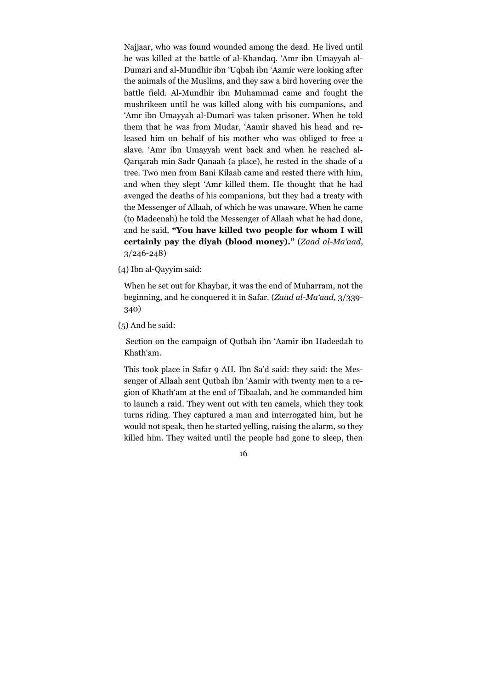Najjaar, who was found wounded among the dead. He lived until he was killed at the battle of al-Khandaq. 'Amr ibn Umayyah al-Dumari and al-Mundhir ibn 'Uqbah ibn 'Aamir were looking after the animals of the Muslims, and they saw a bird hovering over the battle field. Al-Mundhir ibn Muhammad came and fought the mushrikeen until he was killed along with his companions, and 'Amr ibn Umayyah al-Dumari was taken prisoner. When he told them that he was from Mudar, 'Aamir shaved his head and released him on behalf of his mother who was obliged to free a slave. 'Amr ibn Umayyah went back and when he reached al-Qarqarah min Sadr Qanaah (a place), he rested in the shade of a tree. Two men from Bani Kilaab came and rested there with him, and when they slept 'Amr killed them. He thought that he had avenged the deaths of his companions, but they had a treaty with the Messenger of Allaah, of which he was unaware. When he came (to Madeenah) he told the Messenger of Allaah what he had done, and he said, "You have killed two people for whom I will certainly pay the diyah (blood money)." (Zaad al-Ma'aad, 3/246-248)

(4) Ibn al-Qayyim said:

When he set out for Khaybar, it was the end of Muharram, not the beginning, and he conquered it in Safar. (Zaad al-Ma'aad, 3/339- 340)

(5) And he said:

 Section on the campaign of Qutbah ibn 'Aamir ibn Hadeedah to Khath'am.

This took place in Safar 9 AH. Ibn Sa'd said: they said: the Messenger of Allaah sent Qutbah ibn 'Aamir with twenty men to a region of Khath'am at the end of Tibaalah, and he commanded him to launch a raid. They went out with ten camels, which they took turns riding. They captured a man and interrogated him, but he would not speak, then he started yelling, raising the alarm, so they killed him. They waited until the people had gone to sleep, then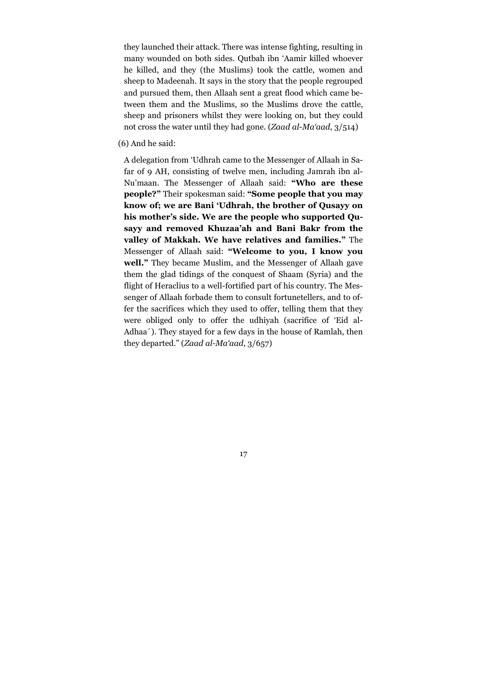they launched their attack. There was intense fighting, resulting in many wounded on both sides. Qutbah ibn 'Aamir killed whoever he killed, and they (the Muslims) took the cattle, women and sheep to Madeenah. It says in the story that the people regrouped and pursued them, then Allaah sent a great flood which came between them and the Muslims, so the Muslims drove the cattle, sheep and prisoners whilst they were looking on, but they could not cross the water until they had gone. (Zaad al-Ma'aad, 3/514)

(6) And he said:

A delegation from 'Udhrah came to the Messenger of Allaah in Safar of 9 AH, consisting of twelve men, including Jamrah ibn al-Nu'maan. The Messenger of Allaah said: "Who are these people?" Their spokesman said: "Some people that you may know of; we are Bani 'Udhrah, the brother of Qusayy on his mother's side. We are the people who supported Qusayy and removed Khuzaa'ah and Bani Bakr from the valley of Makkah. We have relatives and families." The Messenger of Allaah said: "Welcome to you, I know you well." They became Muslim, and the Messenger of Allaah gave them the glad tidings of the conquest of Shaam (Syria) and the flight of Heraclius to a well-fortified part of his country. The Messenger of Allaah forbade them to consult fortunetellers, and to offer the sacrifices which they used to offer, telling them that they were obliged only to offer the udhiyah (sacrifice of 'Eid al-Adhaa´). They stayed for a few days in the house of Ramlah, then they departed." (Zaad al-Ma'aad, 3/657)